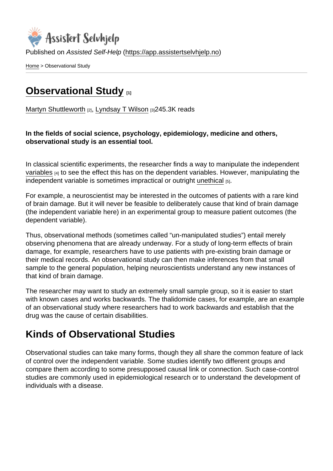Published on Assisted Self-Help [\(https://app.assistertselvhjelp.no](https://app.assistertselvhjelp.no))

[Home](https://app.assistertselvhjelp.no/en) > Observational Study

## **[Observational Study](https://app.assistertselvhjelp.no/en/observational-study)** [1]

[Martyn Shuttleworth](https://app.assistertselvhjelp.no/en/users/martyn) [2], [Lyndsay T Wilson](https://app.assistertselvhjelp.no/en/users/Lyndsay T Wilson) [3]245.3K reads

In the fields of social science, psychology, epidemiology, medicine and others, observational study is an essential tool.

In classical scientific experiments, the researcher finds a way to manipulate the independent [variables](https://explorable.com/research-variables)  $\mu_1$  to see the effect this has on the dependent variables. However, manipulating the independent variable is sometimes impractical or outright [unethical](https://explorable.com/ethics-in-research) [5].

For example, a neuroscientist may be interested in the outcomes of patients with a rare kind of brain damage. But it will never be feasible to deliberately cause that kind of brain damage (the independent variable here) in an experimental group to measure patient outcomes (the dependent variable).

Thus, observational methods (sometimes called "un-manipulated studies") entail merely observing phenomena that are already underway. For a study of long-term effects of brain damage, for example, researchers have to use patients with pre-existing brain damage or their medical records. An observational study can then make inferences from that small sample to the general population, helping neuroscientists understand any new instances of that kind of brain damage.

The researcher may want to study an extremely small sample group, so it is easier to start with known cases and works backwards. The thalidomide cases, for example, are an example of an observational study where researchers had to work backwards and establish that the drug was the cause of certain disabilities.

## Kinds of Observational Studies

Observational studies can take many forms, though they all share the common feature of lack of control over the independent variable. Some studies identify two different groups and compare them according to some presupposed causal link or connection. Such case-control studies are commonly used in epidemiological research or to understand the development of individuals with a disease.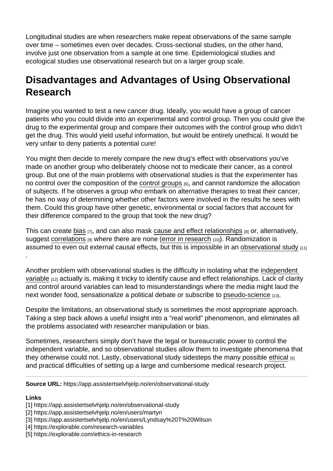Longitudinal studies are when researchers make repeat observations of the same sample over time – sometimes even over decades. Cross-sectional studies, on the other hand, involve just one observation from a sample at one time. Epidemiological studies and ecological studies use observational research but on a larger group scale.

## Disadvantages and Advantages of Using Observational Research

Imagine you wanted to test a new cancer drug. Ideally, you would have a group of cancer patients who you could divide into an experimental and control group. Then you could give the drug to the experimental group and compare their outcomes with the control group who didn't get the drug. This would yield useful information, but would be entirely unethical. It would be very unfair to deny patients a potential cure!

You might then decide to merely compare the new drug's effect with observations you've made on another group who deliberately choose not to medicate their cancer, as a control group. But one of the main problems with observational studies is that the experimenter has no control over the composition of the [control groups](https://explorable.com/scientific-control-group)  $[6]$ , and cannot randomize the allocation of subjects. If he observes a group who embark on alternative therapies to treat their cancer, he has no way of determining whether other factors were involved in the results he sees with them. Could this group have other genetic, environmental or social factors that account for their difference compared to the group that took the new drug?

This can create [bias](https://explorable.com/research-bias) [7], and can also mask [cause and effect relationships](https://explorable.com/cause-and-effect) [8] or, alternatively, suggest [correlations](https://explorable.com/statistical-correlation)  $[9]$  where there are none [\(error in research](https://explorable.com/type-I-error)  $[10]$ ). Randomization is assumed to even out external causal effects, but this is impossible in an [observational study](http://en.wikipedia.org/wiki/Observational_study) [11] .

Another problem with observational studies is the difficulty in isolating what the [independent](https://explorable.com/independent-variable)  [variable](https://explorable.com/independent-variable) [12] actually is, making it tricky to identify cause and effect relationships. Lack of clarity and control around variables can lead to misunderstandings where the media might laud the next wonder food, sensationalize a political debate or subscribe to [pseudo-science](https://explorable.com/pseudoscience) [13].

Despite the limitations, an observational study is sometimes the most appropriate approach. Taking a step back allows a useful insight into a "real world" phenomenon, and eliminates all the problems associated with researcher manipulation or bias.

Sometimes, researchers simply don't have the legal or bureaucratic power to control the independent variable, and so observational studies allow them to investigate phenomena that they otherwise could not. Lastly, observational study sidesteps the many possible [ethical](https://explorable.com/ethics-in-research) [5] and practical difficulties of setting up a large and cumbersome medical research project.

Source URL: https://app.assistertselvhjelp.no/en/observational-study

Links

- [4] https://explorable.com/research-variables
- [5] https://explorable.com/ethics-in-research

<sup>[1]</sup> https://app.assistertselvhjelp.no/en/observational-study

<sup>[2]</sup> https://app.assistertselvhjelp.no/en/users/martyn

<sup>[3]</sup> https://app.assistertselvhjelp.no/en/users/Lyndsay%20T%20Wilson